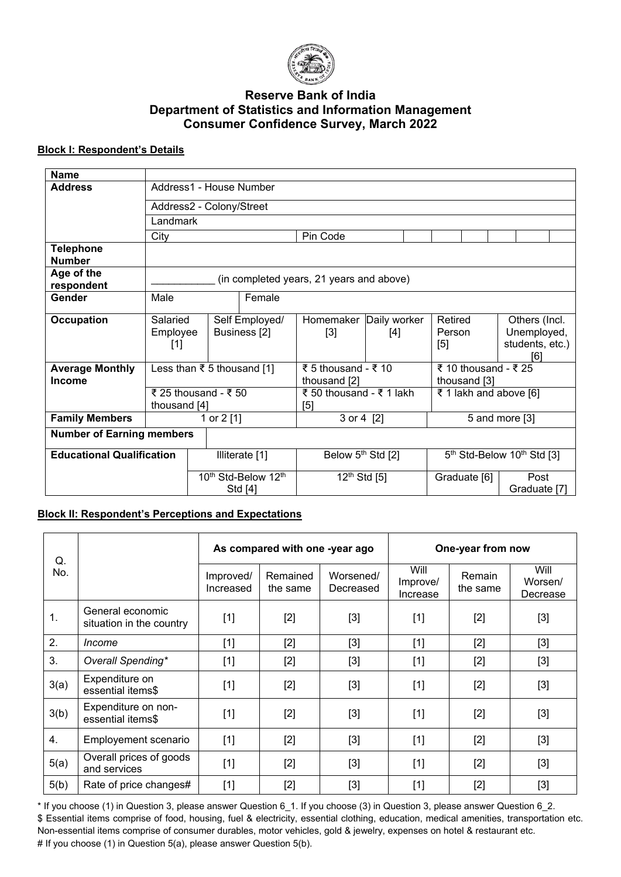

# **Reserve Bank of India Department of Statistics and Information Management Consumer Confidence Survey, March 2022**

## **Block I: Respondent's Details**

| <b>Name</b>                             |                                          |                          |                                           |                                 |                                     |                                                    |                                      |                                                        |  |
|-----------------------------------------|------------------------------------------|--------------------------|-------------------------------------------|---------------------------------|-------------------------------------|----------------------------------------------------|--------------------------------------|--------------------------------------------------------|--|
| <b>Address</b>                          | Address1 - House Number                  |                          |                                           |                                 |                                     |                                                    |                                      |                                                        |  |
|                                         |                                          | Address2 - Colony/Street |                                           |                                 |                                     |                                                    |                                      |                                                        |  |
|                                         | Landmark                                 |                          |                                           |                                 |                                     |                                                    |                                      |                                                        |  |
|                                         | City                                     |                          |                                           |                                 | Pin Code                            |                                                    |                                      |                                                        |  |
| <b>Telephone</b><br><b>Number</b>       |                                          |                          |                                           |                                 |                                     |                                                    |                                      |                                                        |  |
| Age of the                              | (in completed years, 21 years and above) |                          |                                           |                                 |                                     |                                                    |                                      |                                                        |  |
| respondent                              |                                          |                          |                                           |                                 |                                     |                                                    |                                      |                                                        |  |
| <b>Gender</b>                           | Male                                     |                          | Female                                    |                                 |                                     |                                                    |                                      |                                                        |  |
| <b>Occupation</b>                       | Salaried<br>Employee<br>$[1]$            |                          | Self Employed/<br>Business <sup>[2]</sup> |                                 | Homemaker Daily worker<br>$[3]$     | [4]                                                | Retired<br>Person<br>[5]             | Others (Incl.<br>Unemployed,<br>students, etc.)<br>[6] |  |
| <b>Average Monthly</b><br><b>Income</b> | Less than ₹ 5 thousand [1]               |                          |                                           |                                 | ₹ 5 thousand - ₹ 10<br>thousand [2] |                                                    | ₹ 10 thousand - ₹ 25<br>thousand [3] |                                                        |  |
|                                         | ₹ 25 thousand - ₹ 50<br>thousand [4]     |                          |                                           | ₹ 50 thousand - ₹ 1 lakh<br>[5] |                                     | ₹ 1 lakh and above [6]                             |                                      |                                                        |  |
| <b>Family Members</b>                   |                                          |                          | 1 or 2 [1]                                |                                 | 3 or 4 [2]                          |                                                    | 5 and more [3]                       |                                                        |  |
| <b>Number of Earning members</b>        |                                          |                          |                                           |                                 |                                     |                                                    |                                      |                                                        |  |
| <b>Educational Qualification</b>        |                                          | Illiterate [1]           |                                           | Below 5 <sup>th</sup> Std [2]   |                                     | 5 <sup>th</sup> Std-Below 10 <sup>th</sup> Std [3] |                                      |                                                        |  |
|                                         |                                          | 10th Std-Below 12th      |                                           | $12^{th}$ Std [5]               |                                     | Graduate [6]                                       | Post                                 |                                                        |  |
|                                         |                                          | Std [4]                  |                                           |                                 |                                     |                                                    | Graduate [7]                         |                                                        |  |

### **Block II: Respondent's Perceptions and Expectations**

| Q.   |                                              |                        | As compared with one -year ago |                        | One-year from now            |                    |                             |
|------|----------------------------------------------|------------------------|--------------------------------|------------------------|------------------------------|--------------------|-----------------------------|
| No.  |                                              | Improved/<br>Increased | Remained<br>the same           | Worsened/<br>Decreased | Will<br>Improve/<br>Increase | Remain<br>the same | Will<br>Worsen/<br>Decrease |
| 1.   | General economic<br>situation in the country | $[1]$                  | $[2]$                          | $[3]$                  | $[1]$                        | $[2]$              | $[3]$                       |
| 2.   | Income                                       | $[1]$                  | $[2]$                          | $[3]$                  | $[1]$                        | $[2]$              | $[3]$                       |
| 3.   | Overall Spending*                            | $[1]$                  | $[2]$                          | $[3]$                  | $[1]$                        | $[2]$              | $[3]$                       |
| 3(a) | Expenditure on<br>essential items\$          | $[1]$                  | $[2]$                          | $[3]$                  | $[1]$                        | $[2]$              | $[3]$                       |
| 3(b) | Expenditure on non-<br>essential items\$     | $[1]$                  | $[2]$                          | $[3]$                  | $[1]$                        | $[2]$              | $[3]$                       |
| 4.   | Employement scenario                         | $[1]$                  | $[2]$                          | $[3]$                  | $[1]$                        | $[2]$              | $[3]$                       |
| 5(a) | Overall prices of goods<br>and services      | $[1]$                  | $[2]$                          | $[3]$                  | $[1]$                        | $[2]$              | $[3]$                       |
| 5(b) | Rate of price changes#                       | $[1]$                  | $[2]$                          | $[3]$                  | $[1]$                        | $[2]$              | $[3]$                       |

\* If you choose (1) in Question 3, please answer Question 6\_1. If you choose (3) in Question 3, please answer Question 6\_2. \$ Essential items comprise of food, housing, fuel & electricity, essential clothing, education, medical amenities, transportation etc. Non-essential items comprise of consumer durables, motor vehicles, gold & jewelry, expenses on hotel & restaurant etc. # If you choose (1) in Question 5(a), please answer Question 5(b).